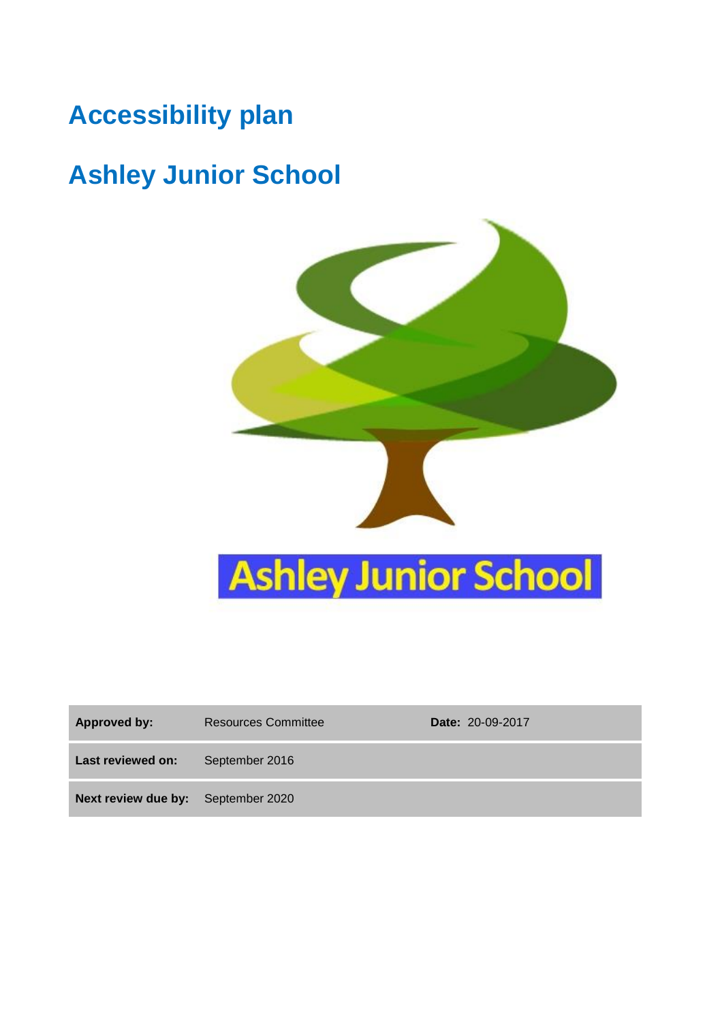## **Accessibility plan**

# **Ashley Junior School**



| <b>Approved by:</b>                       | <b>Resources Committee</b> | <b>Date: 20-09-2017</b> |
|-------------------------------------------|----------------------------|-------------------------|
| Last reviewed on:                         | September 2016             |                         |
| <b>Next review due by:</b> September 2020 |                            |                         |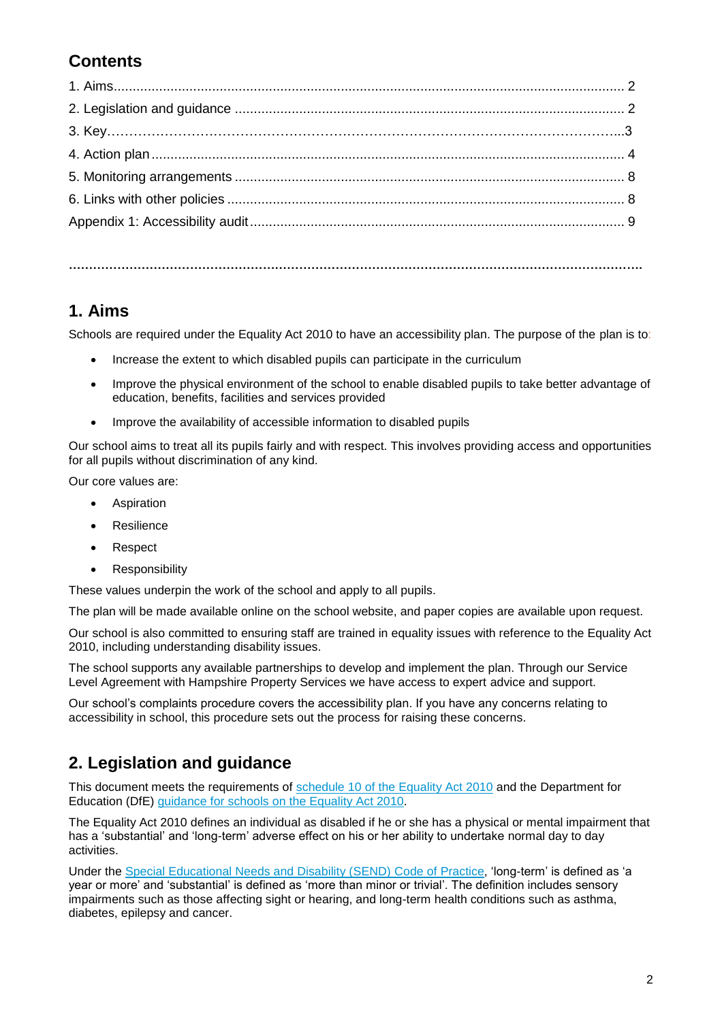#### **Contents**

#### **1. Aims**

Schools are required under the Equality Act 2010 to have an accessibility plan. The purpose of the plan is to:

**…………………………………………………………………………………………………………………………….**

- Increase the extent to which disabled pupils can participate in the curriculum
- Improve the physical environment of the school to enable disabled pupils to take better advantage of education, benefits, facilities and services provided
- Improve the availability of accessible information to disabled pupils

Our school aims to treat all its pupils fairly and with respect. This involves providing access and opportunities for all pupils without discrimination of any kind.

Our core values are:

- Aspiration
- Resilience
- Respect
- Responsibility

These values underpin the work of the school and apply to all pupils.

The plan will be made available online on the school website, and paper copies are available upon request.

Our school is also committed to ensuring staff are trained in equality issues with reference to the Equality Act 2010, including understanding disability issues.

The school supports any available partnerships to develop and implement the plan. Through our Service Level Agreement with Hampshire Property Services we have access to expert advice and support.

Our school's complaints procedure covers the accessibility plan. If you have any concerns relating to accessibility in school, this procedure sets out the process for raising these concerns.

#### **2. Legislation and guidance**

This document meets the requirements of [schedule 10 of the Equality Act 2010](http://www.legislation.gov.uk/ukpga/2010/15/schedule/10) and the Department for Education (DfE) [guidance for schools on the Equality Act 2010.](https://www.gov.uk/government/publications/equality-act-2010-advice-for-schools)

The Equality Act 2010 defines an individual as disabled if he or she has a physical or mental impairment that has a 'substantial' and 'long-term' adverse effect on his or her ability to undertake normal day to day activities.

Under the [Special Educational Needs and Disability \(SEND\) Code of Practice,](https://www.gov.uk/government/publications/send-code-of-practice-0-to-25) 'long-term' is defined as 'a year or more' and 'substantial' is defined as 'more than minor or trivial'. The definition includes sensory impairments such as those affecting sight or hearing, and long-term health conditions such as asthma, diabetes, epilepsy and cancer.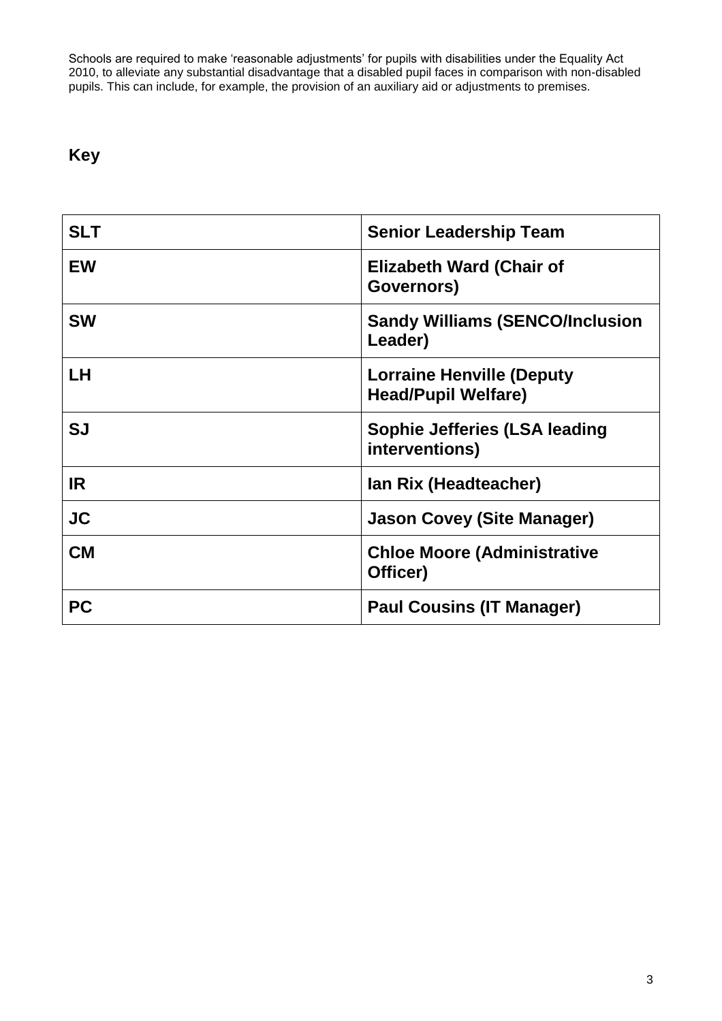Schools are required to make 'reasonable adjustments' for pupils with disabilities under the Equality Act 2010, to alleviate any substantial disadvantage that a disabled pupil faces in comparison with non-disabled pupils. This can include, for example, the provision of an auxiliary aid or adjustments to premises.

#### **Key**

| <b>SLT</b> | <b>Senior Leadership Team</b>                                  |
|------------|----------------------------------------------------------------|
| <b>EW</b>  | <b>Elizabeth Ward (Chair of</b><br>Governors)                  |
| <b>SW</b>  | <b>Sandy Williams (SENCO/Inclusion</b><br>Leader)              |
| LН         | <b>Lorraine Henville (Deputy</b><br><b>Head/Pupil Welfare)</b> |
| SJ         | Sophie Jefferies (LSA leading<br>interventions)                |
| <b>IR</b>  | Ian Rix (Headteacher)                                          |
| <b>JC</b>  | <b>Jason Covey (Site Manager)</b>                              |
| <b>CM</b>  | <b>Chloe Moore (Administrative</b><br>Officer)                 |
| <b>PC</b>  | <b>Paul Cousins (IT Manager)</b>                               |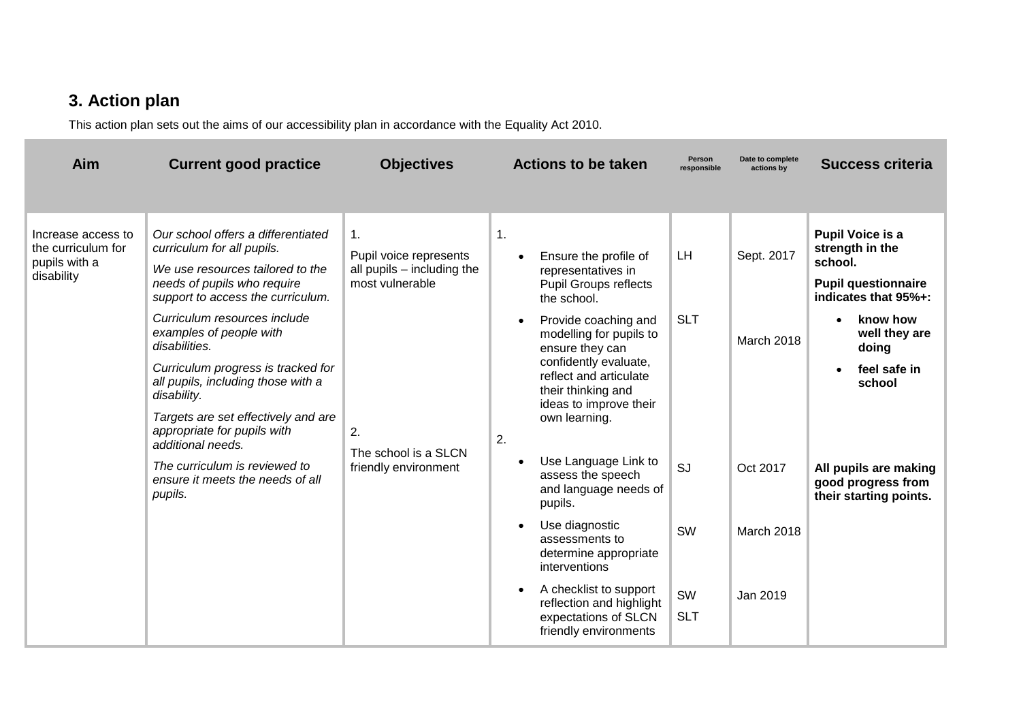### **3. Action plan**

This action plan sets out the aims of our accessibility plan in accordance with the Equality Act 2010.

| Aim                                                                          | <b>Current good practice</b>                                                                                                                                                                                                                                                                                                                                                                                                               | <b>Objectives</b>                                                                                                                                                                                   | <b>Actions to be taken</b>                                                                                                                                                                                                                                                                                    | Person<br>responsible              | Date to complete<br>actions by                                        | <b>Success criteria</b>                                                                                                                                                     |
|------------------------------------------------------------------------------|--------------------------------------------------------------------------------------------------------------------------------------------------------------------------------------------------------------------------------------------------------------------------------------------------------------------------------------------------------------------------------------------------------------------------------------------|-----------------------------------------------------------------------------------------------------------------------------------------------------------------------------------------------------|---------------------------------------------------------------------------------------------------------------------------------------------------------------------------------------------------------------------------------------------------------------------------------------------------------------|------------------------------------|-----------------------------------------------------------------------|-----------------------------------------------------------------------------------------------------------------------------------------------------------------------------|
|                                                                              |                                                                                                                                                                                                                                                                                                                                                                                                                                            |                                                                                                                                                                                                     |                                                                                                                                                                                                                                                                                                               |                                    |                                                                       |                                                                                                                                                                             |
| Increase access to<br>the curriculum for<br>pupils with a<br>disability      | Our school offers a differentiated<br>curriculum for all pupils.<br>We use resources tailored to the<br>needs of pupils who require<br>support to access the curriculum.<br>Curriculum resources include<br>examples of people with<br>disabilities.<br>Curriculum progress is tracked for<br>all pupils, including those with a<br>disability.<br>Targets are set effectively and are<br>appropriate for pupils with<br>additional needs. | $\mathbf{1}$ .<br>Pupil voice represents<br>all pupils - including the<br>most vulnerable<br>2.                                                                                                     | 1.<br>Ensure the profile of<br>$\bullet$<br>representatives in<br><b>Pupil Groups reflects</b><br>the school.<br>Provide coaching and<br>modelling for pupils to<br>ensure they can<br>confidently evaluate,<br>reflect and articulate<br>their thinking and<br>ideas to improve their<br>own learning.<br>2. | <b>LH</b><br><b>SLT</b>            | Sept. 2017<br>March 2018                                              | <b>Pupil Voice is a</b><br>strength in the<br>school.<br><b>Pupil questionnaire</b><br>indicates that 95%+:<br>know how<br>well they are<br>doing<br>feel safe in<br>school |
| The curriculum is reviewed to<br>ensure it meets the needs of all<br>pupils. | The school is a SLCN<br>friendly environment                                                                                                                                                                                                                                                                                                                                                                                               | Use Language Link to<br>$\bullet$<br>assess the speech<br>pupils.<br>Use diagnostic<br>$\bullet$<br>assessments to<br>determine appropriate<br>interventions<br>A checklist to support<br>$\bullet$ | SJ<br>and language needs of<br><b>SW</b><br>SW<br>reflection and highlight                                                                                                                                                                                                                                    | Oct 2017<br>March 2018<br>Jan 2019 | All pupils are making<br>good progress from<br>their starting points. |                                                                                                                                                                             |
|                                                                              |                                                                                                                                                                                                                                                                                                                                                                                                                                            |                                                                                                                                                                                                     | expectations of SLCN<br>friendly environments                                                                                                                                                                                                                                                                 | <b>SLT</b>                         |                                                                       |                                                                                                                                                                             |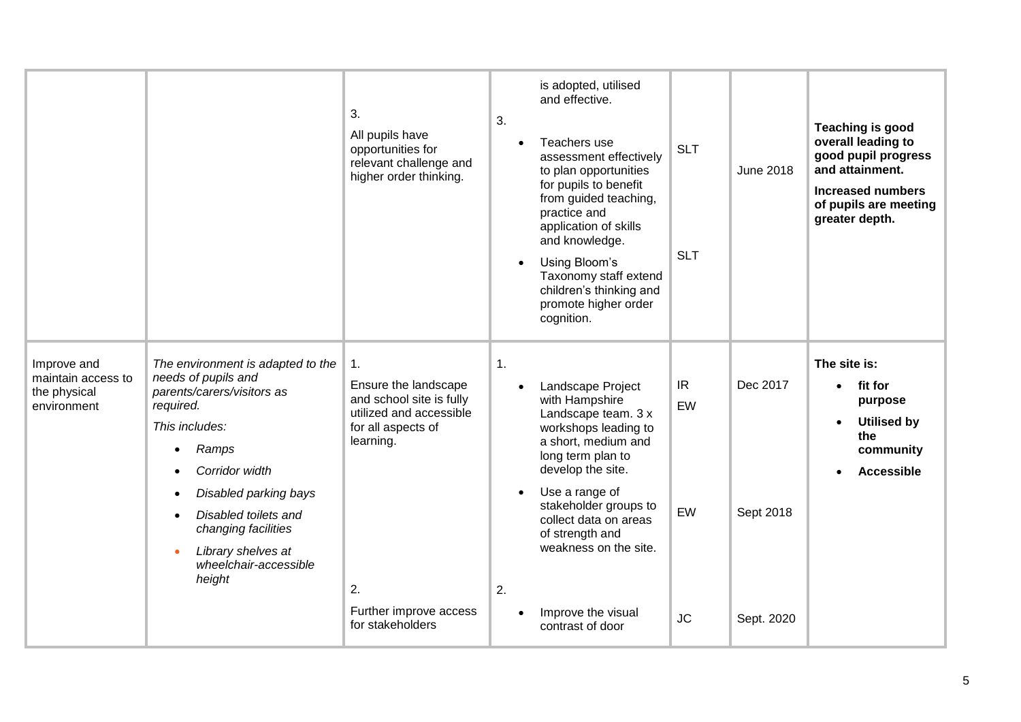|                                                                  |                                                                                                                                                                                                                                                                                                | 3.<br>All pupils have<br>opportunities for<br>relevant challenge and<br>higher order thinking.                                                                           | 3.                   | is adopted, utilised<br>and effective.<br>Teachers use<br>assessment effectively<br>to plan opportunities<br>for pupils to benefit<br>from guided teaching,<br>practice and<br>application of skills<br>and knowledge.<br>Using Bloom's<br>Taxonomy staff extend<br>children's thinking and<br>promote higher order<br>cognition. | <b>SLT</b><br><b>SLT</b>    | <b>June 2018</b>                    | <b>Teaching is good</b><br>overall leading to<br>good pupil progress<br>and attainment.<br><b>Increased numbers</b><br>of pupils are meeting<br>greater depth. |
|------------------------------------------------------------------|------------------------------------------------------------------------------------------------------------------------------------------------------------------------------------------------------------------------------------------------------------------------------------------------|--------------------------------------------------------------------------------------------------------------------------------------------------------------------------|----------------------|-----------------------------------------------------------------------------------------------------------------------------------------------------------------------------------------------------------------------------------------------------------------------------------------------------------------------------------|-----------------------------|-------------------------------------|----------------------------------------------------------------------------------------------------------------------------------------------------------------|
| Improve and<br>maintain access to<br>the physical<br>environment | The environment is adapted to the<br>needs of pupils and<br>parents/carers/visitors as<br>required.<br>This includes:<br>Ramps<br>Corridor width<br>Disabled parking bays<br>Disabled toilets and<br>changing facilities<br>Library shelves at<br>$\bullet$<br>wheelchair-accessible<br>height | 1.<br>Ensure the landscape<br>and school site is fully<br>utilized and accessible<br>for all aspects of<br>learning.<br>2.<br>Further improve access<br>for stakeholders | $\mathbf{1}$ .<br>2. | Landscape Project<br>with Hampshire<br>Landscape team. 3 x<br>workshops leading to<br>a short, medium and<br>long term plan to<br>develop the site.<br>Use a range of<br>stakeholder groups to<br>collect data on areas<br>of strength and<br>weakness on the site.<br>Improve the visual<br>contrast of door                     | IR<br>EW<br>EW<br><b>JC</b> | Dec 2017<br>Sept 2018<br>Sept. 2020 | The site is:<br>fit for<br>purpose<br><b>Utilised by</b><br>the<br>community<br><b>Accessible</b>                                                              |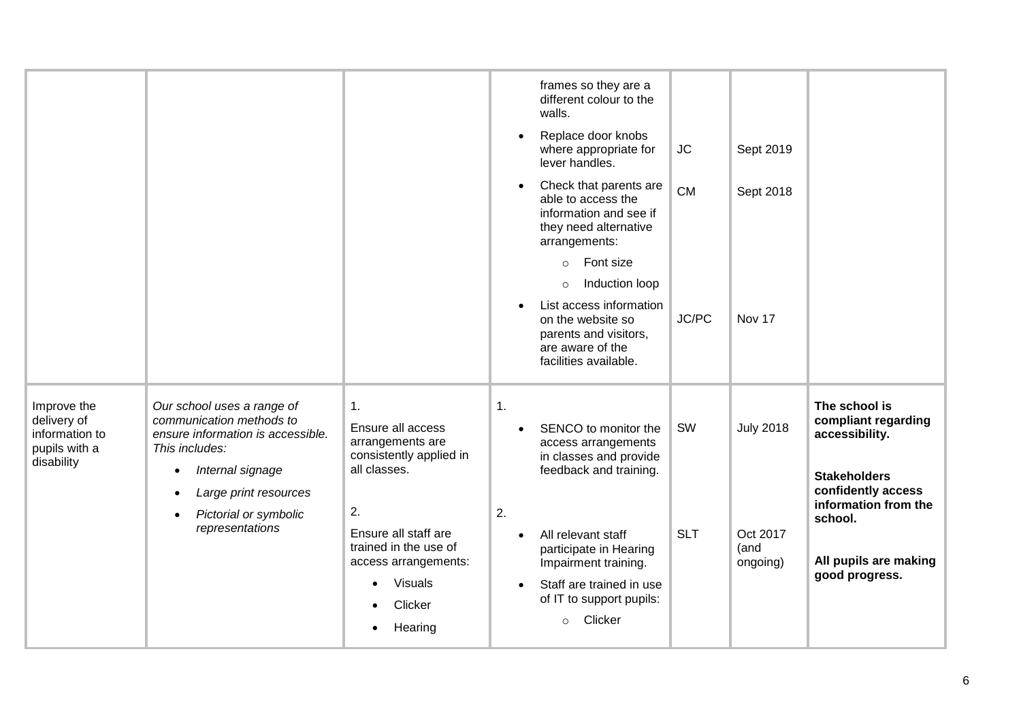|                                                                             |                                                                                                               |                                                                        |                | frames so they are a<br>different colour to the<br>walls.<br>Replace door knobs<br>where appropriate for<br>lever handles. | $\sf JC$   | Sept 2019                    |                                                        |
|-----------------------------------------------------------------------------|---------------------------------------------------------------------------------------------------------------|------------------------------------------------------------------------|----------------|----------------------------------------------------------------------------------------------------------------------------|------------|------------------------------|--------------------------------------------------------|
|                                                                             |                                                                                                               |                                                                        |                | Check that parents are<br>able to access the<br>information and see if<br>they need alternative<br>arrangements:           | <b>CM</b>  | Sept 2018                    |                                                        |
|                                                                             |                                                                                                               |                                                                        |                | $\circ$ Font size                                                                                                          |            |                              |                                                        |
|                                                                             |                                                                                                               |                                                                        |                | Induction loop<br>$\circ$<br>List access information                                                                       |            |                              |                                                        |
|                                                                             |                                                                                                               |                                                                        |                | on the website so<br>parents and visitors,<br>are aware of the<br>facilities available.                                    | JC/PC      | Nov 17                       |                                                        |
| Improve the<br>delivery of<br>information to<br>pupils with a<br>disability | Our school uses a range of<br>communication methods to<br>ensure information is accessible.<br>This includes: | 1.<br>Ensure all access<br>arrangements are<br>consistently applied in | $\mathbf{1}$ . | SENCO to monitor the<br>access arrangements<br>in classes and provide                                                      | SW         | <b>July 2018</b>             | The school is<br>compliant regarding<br>accessibility. |
|                                                                             | Internal signage                                                                                              | all classes.                                                           |                | feedback and training.                                                                                                     |            |                              | <b>Stakeholders</b><br>confidently access              |
|                                                                             | Large print resources<br>Pictorial or symbolic<br>$\bullet$                                                   | 2.                                                                     | 2.             |                                                                                                                            |            |                              | information from the<br>school.                        |
|                                                                             | representations                                                                                               | Ensure all staff are<br>trained in the use of<br>access arrangements:  | $\bullet$      | All relevant staff<br>participate in Hearing<br>Impairment training.                                                       | <b>SLT</b> | Oct 2017<br>(and<br>ongoing) | All pupils are making                                  |
|                                                                             |                                                                                                               | Visuals<br>Clicker<br>Hearing                                          |                | Staff are trained in use<br>of IT to support pupils:<br>Clicker<br>$\circ$                                                 |            |                              | good progress.                                         |
|                                                                             |                                                                                                               |                                                                        |                |                                                                                                                            |            |                              |                                                        |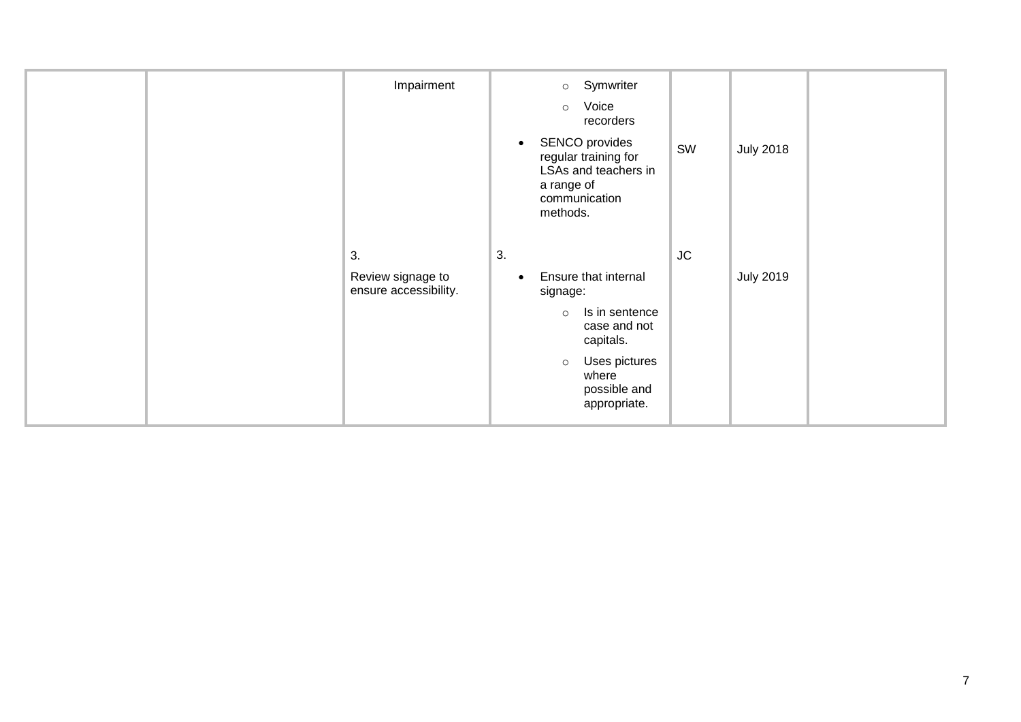| Impairment                                       | o Symwriter<br>Voice<br>$\circ$<br>recorders<br>SENCO provides<br>regular training for<br>LSAs and teachers in<br>a range of<br>communication<br>methods.             | SW       | <b>July 2018</b> |  |
|--------------------------------------------------|-----------------------------------------------------------------------------------------------------------------------------------------------------------------------|----------|------------------|--|
| 3.<br>Review signage to<br>ensure accessibility. | 3.<br>Ensure that internal<br>signage:<br>Is in sentence<br>$\circ$<br>case and not<br>capitals.<br>Uses pictures<br>$\circ$<br>where<br>possible and<br>appropriate. | $\sf JC$ | <b>July 2019</b> |  |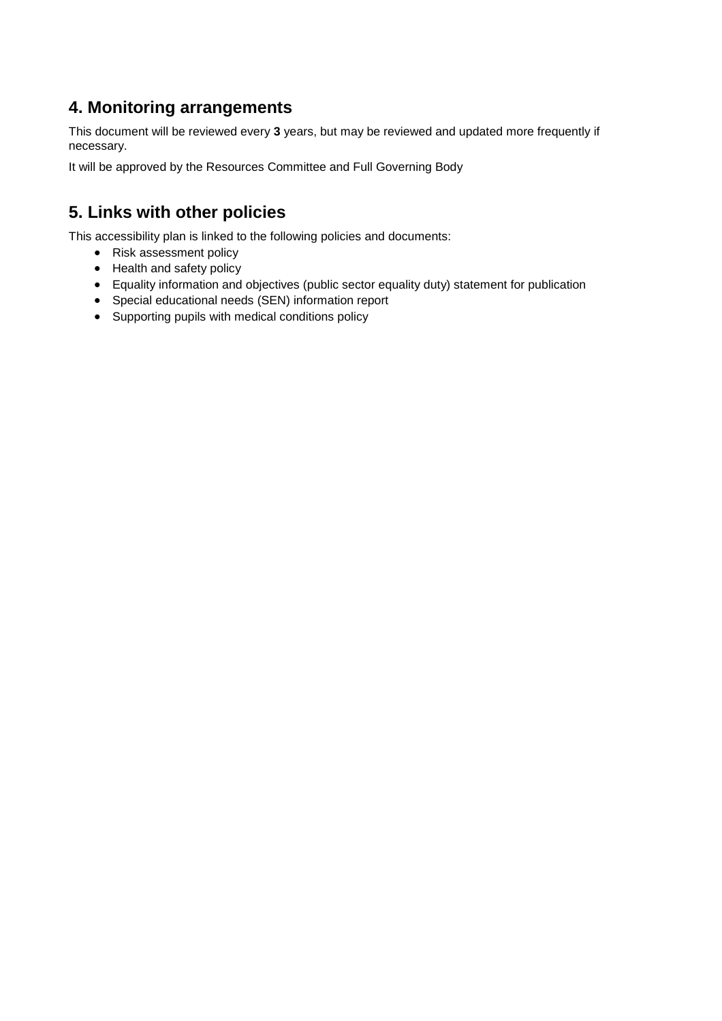#### **4. Monitoring arrangements**

This document will be reviewed every **3** years, but may be reviewed and updated more frequently if necessary.

It will be approved by the Resources Committee and Full Governing Body

#### **5. Links with other policies**

This accessibility plan is linked to the following policies and documents:

- Risk assessment policy
- Health and safety policy
- Equality information and objectives (public sector equality duty) statement for publication
- Special educational needs (SEN) information report
- Supporting pupils with medical conditions policy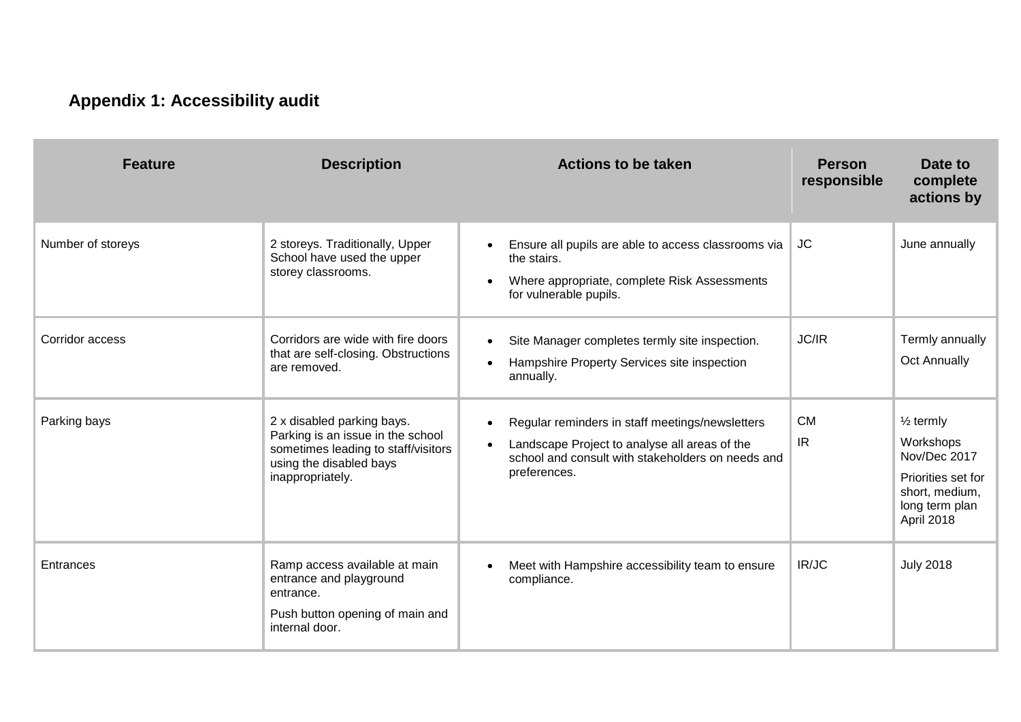### **Appendix 1: Accessibility audit**

| <b>Feature</b>    | <b>Description</b>                                                                                                                                    | <b>Actions to be taken</b>                                                                                                                                                                      | <b>Person</b><br>responsible | Date to<br>complete<br>actions by                                                                                         |
|-------------------|-------------------------------------------------------------------------------------------------------------------------------------------------------|-------------------------------------------------------------------------------------------------------------------------------------------------------------------------------------------------|------------------------------|---------------------------------------------------------------------------------------------------------------------------|
| Number of storeys | 2 storeys. Traditionally, Upper<br>School have used the upper<br>storey classrooms.                                                                   | Ensure all pupils are able to access classrooms via<br>$\bullet$<br>the stairs.<br>Where appropriate, complete Risk Assessments<br>$\bullet$<br>for vulnerable pupils.                          | <b>JC</b>                    | June annually                                                                                                             |
| Corridor access   | Corridors are wide with fire doors<br>that are self-closing. Obstructions<br>are removed.                                                             | Site Manager completes termly site inspection.<br>$\bullet$<br>Hampshire Property Services site inspection<br>$\bullet$<br>annually.                                                            | JC/IR                        | Termly annually<br><b>Oct Annually</b>                                                                                    |
| Parking bays      | 2 x disabled parking bays.<br>Parking is an issue in the school<br>sometimes leading to staff/visitors<br>using the disabled bays<br>inappropriately. | Regular reminders in staff meetings/newsletters<br>$\bullet$<br>Landscape Project to analyse all areas of the<br>$\bullet$<br>school and consult with stakeholders on needs and<br>preferences. | <b>CM</b><br>IR.             | $\frac{1}{2}$ termly<br>Workshops<br>Nov/Dec 2017<br>Priorities set for<br>short, medium,<br>long term plan<br>April 2018 |
| Entrances         | Ramp access available at main<br>entrance and playground<br>entrance.<br>Push button opening of main and<br>internal door.                            | Meet with Hampshire accessibility team to ensure<br>compliance.                                                                                                                                 | IR/JC                        | <b>July 2018</b>                                                                                                          |